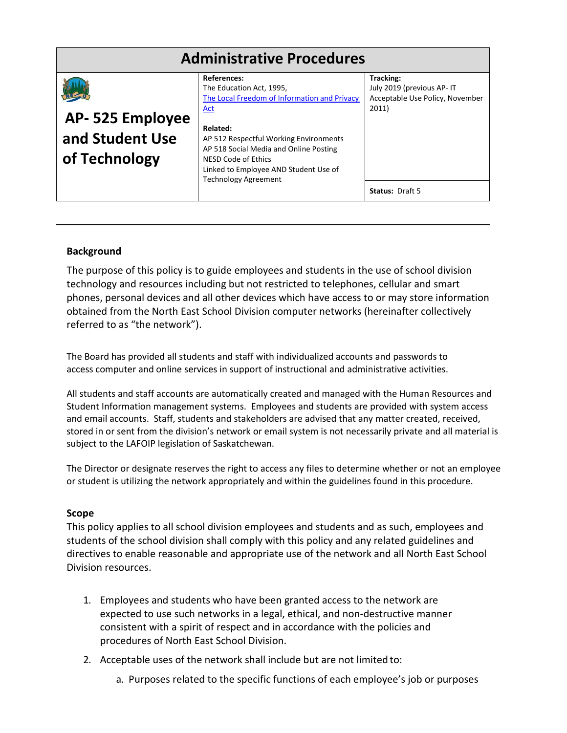| <b>Administrative Procedures</b>                    |                                                                                                                                                                                                                                                                                               |                                                                                     |
|-----------------------------------------------------|-----------------------------------------------------------------------------------------------------------------------------------------------------------------------------------------------------------------------------------------------------------------------------------------------|-------------------------------------------------------------------------------------|
| AP-525 Employee<br>and Student Use<br>of Technology | References:<br>The Education Act, 1995,<br>The Local Freedom of Information and Privacy<br>Act<br>Related:<br>AP 512 Respectful Working Environments<br>AP 518 Social Media and Online Posting<br>NESD Code of Ethics<br>Linked to Employee AND Student Use of<br><b>Technology Agreement</b> | Tracking:<br>July 2019 (previous AP- IT<br>Acceptable Use Policy, November<br>2011) |
|                                                     |                                                                                                                                                                                                                                                                                               | <b>Status: Draft 5</b>                                                              |

# **Background**

The purpose of this policy is to guide employees and students in the use of school division technology and resources including but not restricted to telephones, cellular and smart phones, personal devices and all other devices which have access to or may store information obtained from the North East School Division computer networks (hereinafter collectively referred to as "the network").

The Board has provided all students and staff with individualized accounts and passwords to access computer and online services in support of instructional and administrative activities.

All students and staff accounts are automatically created and managed with the Human Resources and Student Information management systems. Employees and students are provided with system access and email accounts. Staff, students and stakeholders are advised that any matter created, received, stored in or sent from the division's network or email system is not necessarily private and all material is subject to the LAFOIP legislation of Saskatchewan.

The Director or designate reserves the right to access any files to determine whether or not an employee or student is utilizing the network appropriately and within the guidelines found in this procedure.

# **Scope**

This policy applies to all school division employees and students and as such, employees and students of the school division shall comply with this policy and any related guidelines and directives to enable reasonable and appropriate use of the network and all North East School Division resources.

- 1. Employees and students who have been granted access to the network are expected to use such networks in a legal, ethical, and non-destructive manner consistent with a spirit of respect and in accordance with the policies and procedures of North East School Division.
- 2. Acceptable uses of the network shall include but are not limited to:
	- a. Purposes related to the specific functions of each employee's job or purposes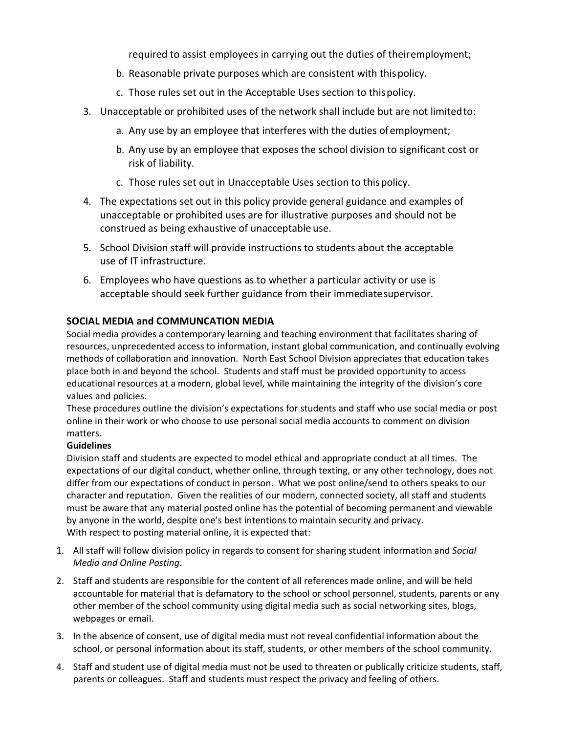required to assist employees in carrying out the duties of theiremployment;

- b. Reasonable private purposes which are consistent with thispolicy.
- c. Those rules set out in the Acceptable Uses section to thispolicy.
- 3. Unacceptable or prohibited uses of the network shall include but are not limitedto:
	- a. Any use by an employee that interferes with the duties ofemployment;
	- b. Any use by an employee that exposes the school division to significant cost or risk of liability.
	- c. Those rules set out in Unacceptable Uses section to thispolicy.
- 4. The expectations set out in this policy provide general guidance and examples of unacceptable or prohibited uses are for illustrative purposes and should not be construed as being exhaustive of unacceptable use.
- 5. School Division staff will provide instructions to students about the acceptable use of IT infrastructure.
- 6. Employees who have questions as to whether a particular activity or use is acceptable should seek further guidance from their immediatesupervisor.

# **SOCIAL MEDIA and COMMUNCATION MEDIA**

Social media provides a contemporary learning and teaching environment that facilitates sharing of resources, unprecedented access to information, instant global communication, and continually evolving methods of collaboration and innovation. North East School Division appreciates that education takes place both in and beyond the school. Students and staff must be provided opportunity to access educational resources at a modern, global level, while maintaining the integrity of the division's core values and policies.

These procedures outline the division's expectations for students and staff who use social media or post online in their work or who choose to use personal social media accounts to comment on division matters.

# **Guidelines**

Division staff and students are expected to model ethical and appropriate conduct at all times. The expectations of our digital conduct, whether online, through texting, or any other technology, does not differ from our expectations of conduct in person. What we post online/send to others speaks to our character and reputation. Given the realities of our modern, connected society, all staff and students must be aware that any material posted online has the potential of becoming permanent and viewable by anyone in the world, despite one's best intentions to maintain security and privacy. With respect to posting material online, it is expected that:

- 1. All staff will follow division policy in regards to consent for sharing student information and *Social Media and Online Posting*.
- 2. Staff and students are responsible for the content of all references made online, and will be held accountable for material that is defamatory to the school or school personnel, students, parents or any other member of the school community using digital media such as social networking sites, blogs, webpages or email.
- 3. In the absence of consent, use of digital media must not reveal confidential information about the school, or personal information about its staff, students, or other members of the school community.
- 4. Staff and student use of digital media must not be used to threaten or publically criticize students, staff, parents or colleagues. Staff and students must respect the privacy and feeling of others.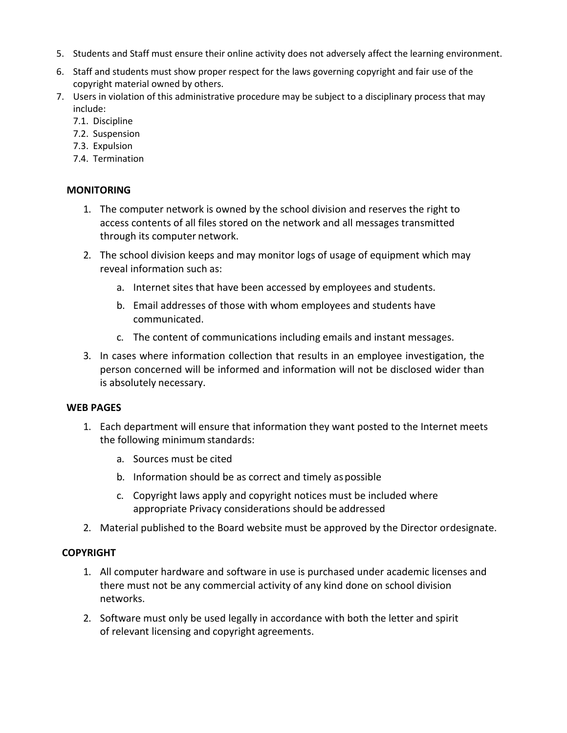- 5. Students and Staff must ensure their online activity does not adversely affect the learning environment.
- 6. Staff and students must show proper respect for the laws governing copyright and fair use of the copyright material owned by others.
- 7. Users in violation of this administrative procedure may be subject to a disciplinary process that may include:
	- 7.1. Discipline
	- 7.2. Suspension
	- 7.3. Expulsion
	- 7.4. Termination

# **MONITORING**

- 1. The computer network is owned by the school division and reserves the right to access contents of all files stored on the network and all messages transmitted through its computer network.
- 2. The school division keeps and may monitor logs of usage of equipment which may reveal information such as:
	- a. Internet sites that have been accessed by employees and students.
	- b. Email addresses of those with whom employees and students have communicated.
	- c. The content of communications including emails and instant messages.
- 3. In cases where information collection that results in an employee investigation, the person concerned will be informed and information will not be disclosed wider than is absolutely necessary.

## **WEB PAGES**

- 1. Each department will ensure that information they want posted to the Internet meets the following minimum standards:
	- a. Sources must be cited
	- b. Information should be as correct and timely aspossible
	- c. Copyright laws apply and copyright notices must be included where appropriate Privacy considerations should be addressed
- 2. Material published to the Board website must be approved by the Director ordesignate.

# **COPYRIGHT**

- 1. All computer hardware and software in use is purchased under academic licenses and there must not be any commercial activity of any kind done on school division networks.
- 2. Software must only be used legally in accordance with both the letter and spirit of relevant licensing and copyright agreements.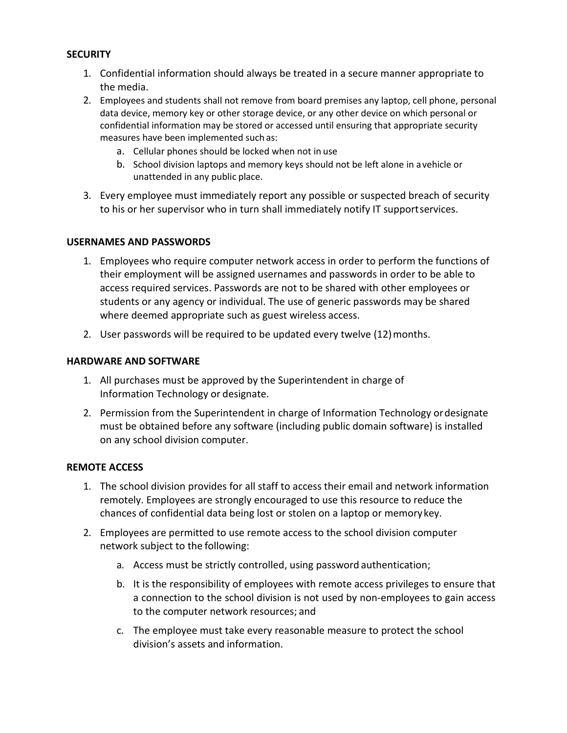# **SECURITY**

- 1. Confidential information should always be treated in a secure manner appropriate to the media.
- 2. Employees and students shall not remove from board premises any laptop, cell phone, personal data device, memory key or other storage device, or any other device on which personal or confidential information may be stored or accessed until ensuring that appropriate security measures have been implemented such as:
	- a. Cellular phones should be locked when not in use
	- b. School division laptops and memory keys should not be left alone in avehicle or unattended in any public place.
- 3. Every employee must immediately report any possible or suspected breach of security to his or her supervisor who in turn shall immediately notify IT supportservices.

# **USERNAMES AND PASSWORDS**

- 1. Employees who require computer network access in order to perform the functions of their employment will be assigned usernames and passwords in order to be able to access required services. Passwords are not to be shared with other employees or students or any agency or individual. The use of generic passwords may be shared where deemed appropriate such as guest wireless access.
- 2. User passwords will be required to be updated every twelve (12)months.

# **HARDWARE AND SOFTWARE**

- 1. All purchases must be approved by the Superintendent in charge of Information Technology or designate.
- 2. Permission from the Superintendent in charge of Information Technology ordesignate must be obtained before any software (including public domain software) is installed on any school division computer.

## **REMOTE ACCESS**

- 1. The school division provides for all staff to access their email and network information remotely. Employees are strongly encouraged to use this resource to reduce the chances of confidential data being lost or stolen on a laptop or memorykey.
- 2. Employees are permitted to use remote access to the school division computer network subject to the following:
	- a. Access must be strictly controlled, using password authentication;
	- b. It is the responsibility of employees with remote access privileges to ensure that a connection to the school division is not used by non-employees to gain access to the computer network resources; and
	- c. The employee must take every reasonable measure to protect the school division's assets and information.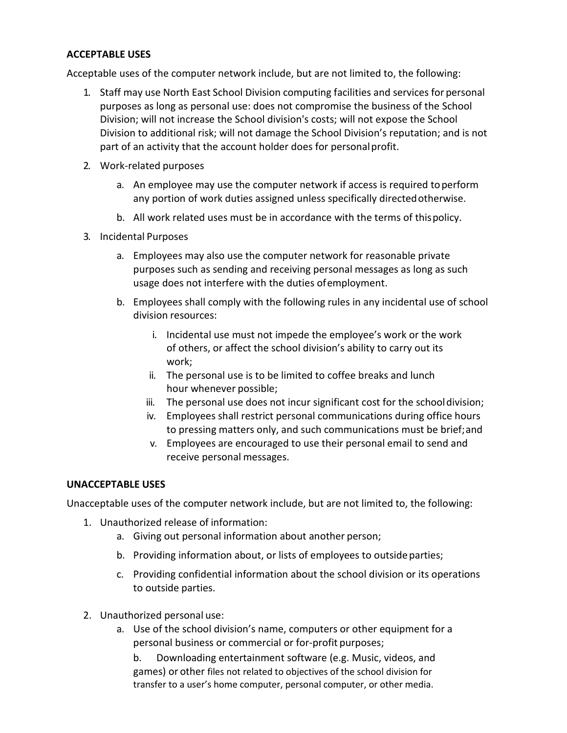## **ACCEPTABLE USES**

Acceptable uses of the computer network include, but are not limited to, the following:

- 1. Staff may use North East School Division computing facilities and services for personal purposes as long as personal use: does not compromise the business of the School Division; will not increase the School division's costs; will not expose the School Division to additional risk; will not damage the School Division's reputation; and is not part of an activity that the account holder does for personalprofit.
- 2. Work-related purposes
	- a. An employee may use the computer network if access is required toperform any portion of work duties assigned unless specifically directedotherwise.
	- b. All work related uses must be in accordance with the terms of thispolicy.
- 3. Incidental Purposes
	- a. Employees may also use the computer network for reasonable private purposes such as sending and receiving personal messages as long as such usage does not interfere with the duties ofemployment.
	- b. Employees shall comply with the following rules in any incidental use of school division resources:
		- i. Incidental use must not impede the employee's work or the work of others, or affect the school division's ability to carry out its work;
		- ii. The personal use is to be limited to coffee breaks and lunch hour whenever possible;
		- iii. The personal use does not incur significant cost for the schooldivision;
		- iv. Employees shall restrict personal communications during office hours to pressing matters only, and such communications must be brief;and
		- v. Employees are encouraged to use their personal email to send and receive personal messages.

# **UNACCEPTABLE USES**

Unacceptable uses of the computer network include, but are not limited to, the following:

- 1. Unauthorized release of information:
	- a. Giving out personal information about another person;
	- b. Providing information about, or lists of employees to outsideparties;
	- c. Providing confidential information about the school division or its operations to outside parties.
- 2. Unauthorized personal use:
	- a. Use of the school division's name, computers or other equipment for a personal business or commercial or for-profit purposes;

b. Downloading entertainment software (e.g. Music, videos, and games) or other files not related to objectives of the school division for transfer to a user's home computer, personal computer, or other media.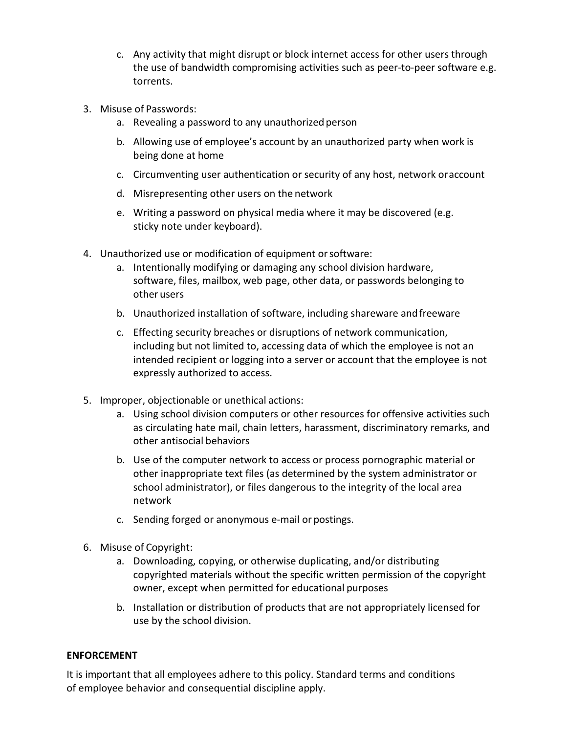- c. Any activity that might disrupt or block internet access for other users through the use of bandwidth compromising activities such as peer-to-peer software e.g. torrents.
- 3. Misuse of Passwords:
	- a. Revealing a password to any unauthorized person
	- b. Allowing use of employee's account by an unauthorized party when work is being done at home
	- c. Circumventing user authentication or security of any host, network oraccount
	- d. Misrepresenting other users on the network
	- e. Writing a password on physical media where it may be discovered (e.g. sticky note under keyboard).
- 4. Unauthorized use or modification of equipment orsoftware:
	- a. Intentionally modifying or damaging any school division hardware, software, files, mailbox, web page, other data, or passwords belonging to other users
	- b. Unauthorized installation of software, including shareware andfreeware
	- c. Effecting security breaches or disruptions of network communication, including but not limited to, accessing data of which the employee is not an intended recipient or logging into a server or account that the employee is not expressly authorized to access.
- 5. Improper, objectionable or unethical actions:
	- a. Using school division computers or other resources for offensive activities such as circulating hate mail, chain letters, harassment, discriminatory remarks, and other antisocial behaviors
	- b. Use of the computer network to access or process pornographic material or other inappropriate text files (as determined by the system administrator or school administrator), or files dangerous to the integrity of the local area network
	- c. Sending forged or anonymous e-mail or postings.
- 6. Misuse of Copyright:
	- a. Downloading, copying, or otherwise duplicating, and/or distributing copyrighted materials without the specific written permission of the copyright owner, except when permitted for educational purposes
	- b. Installation or distribution of products that are not appropriately licensed for use by the school division.

# **ENFORCEMENT**

It is important that all employees adhere to this policy. Standard terms and conditions of employee behavior and consequential discipline apply.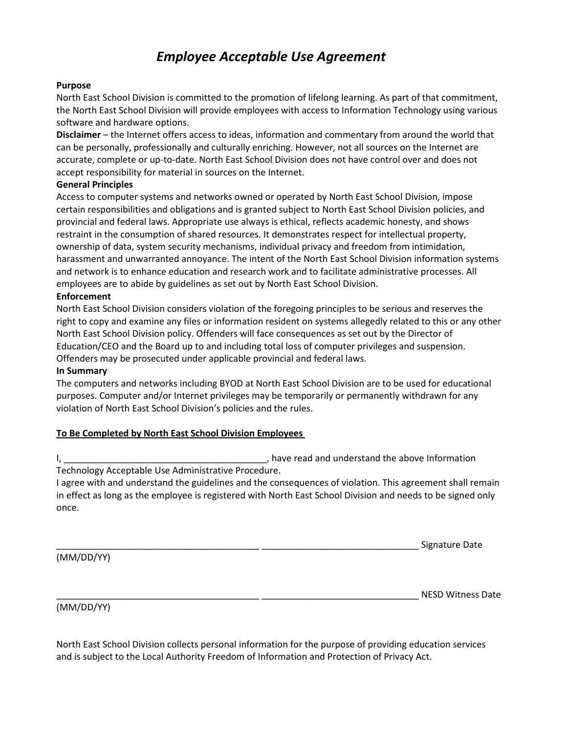# *Employee Acceptable Use Agreement*

## **Purpose**

North East School Division is committed to the promotion of lifelong learning. As part of that commitment, the North East School Division will provide employees with access to Information Technology using various software and hardware options.

**Disclaimer** – the Internet offers access to ideas, information and commentary from around the world that can be personally, professionally and culturally enriching. However, not all sources on the Internet are accurate, complete or up-to-date. North East School Division does not have control over and does not accept responsibility for material in sources on the Internet.

### **General Principles**

Access to computer systems and networks owned or operated by North East School Division, impose certain responsibilities and obligations and is granted subject to North East School Division policies, and provincial and federal laws. Appropriate use always is ethical, reflects academic honesty, and shows restraint in the consumption of shared resources. It demonstrates respect for intellectual property, ownership of data, system security mechanisms, individual privacy and freedom from intimidation, harassment and unwarranted annoyance. The intent of the North East School Division information systems and network is to enhance education and research work and to facilitate administrative processes. All employees are to abide by guidelines as set out by North East School Division.

### **Enforcement**

North East School Division considers violation of the foregoing principles to be serious and reserves the right to copy and examine any files or information resident on systems allegedly related to this or any other North East School Division policy. Offenders will face consequences as set out by the Director of Education/CEO and the Board up to and including total loss of computer privileges and suspension. Offenders may be prosecuted under applicable provincial and federal laws.

#### **In Summary**

The computers and networks including BYOD at North East School Division are to be used for educational purposes. Computer and/or Internet privileges may be temporarily or permanently withdrawn for any violation of North East School Division's policies and the rules.

## **To Be Completed by North East School Division Employees**

I, \_\_\_\_\_\_\_\_\_\_\_\_\_\_\_\_\_\_\_\_\_\_\_\_\_\_\_\_\_\_\_\_\_\_\_\_\_\_\_\_, have read and understand the above Information Technology Acceptable Use Administrative Procedure.

I agree with and understand the guidelines and the consequences of violation. This agreement shall remain in effect as long as the employee is registered with North East School Division and needs to be signed only once.

Signature Date

(MM/DD/YY)

NESD Witness Date

(MM/DD/YY)

North East School Division collects personal information for the purpose of providing education services and is subject to the Local Authority Freedom of Information and Protection of Privacy Act.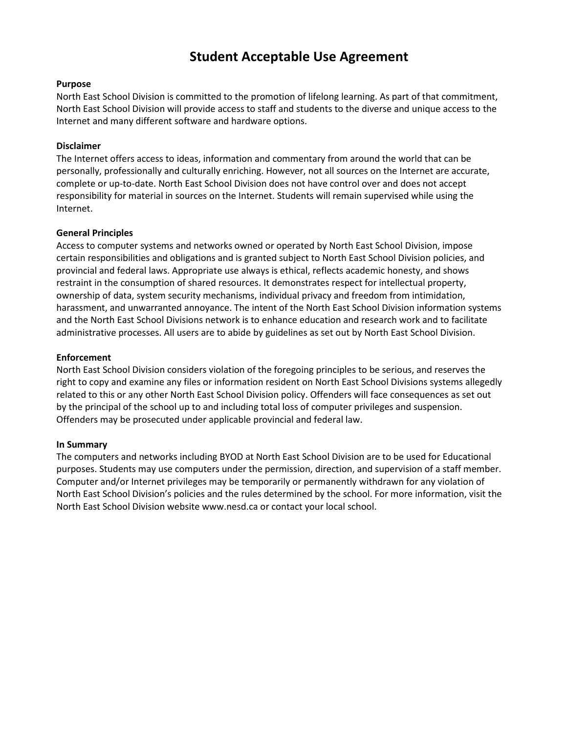# **Student Acceptable Use Agreement**

## **Purpose**

North East School Division is committed to the promotion of lifelong learning. As part of that commitment, North East School Division will provide access to staff and students to the diverse and unique access to the Internet and many different software and hardware options.

## **Disclaimer**

The Internet offers access to ideas, information and commentary from around the world that can be personally, professionally and culturally enriching. However, not all sources on the Internet are accurate, complete or up-to-date. North East School Division does not have control over and does not accept responsibility for material in sources on the Internet. Students will remain supervised while using the Internet.

### **General Principles**

Access to computer systems and networks owned or operated by North East School Division, impose certain responsibilities and obligations and is granted subject to North East School Division policies, and provincial and federal laws. Appropriate use always is ethical, reflects academic honesty, and shows restraint in the consumption of shared resources. It demonstrates respect for intellectual property, ownership of data, system security mechanisms, individual privacy and freedom from intimidation, harassment, and unwarranted annoyance. The intent of the North East School Division information systems and the North East School Divisions network is to enhance education and research work and to facilitate administrative processes. All users are to abide by guidelines as set out by North East School Division.

### **Enforcement**

North East School Division considers violation of the foregoing principles to be serious, and reserves the right to copy and examine any files or information resident on North East School Divisions systems allegedly related to this or any other North East School Division policy. Offenders will face consequences as set out by the principal of the school up to and including total loss of computer privileges and suspension. Offenders may be prosecuted under applicable provincial and federal law.

#### **In Summary**

The computers and networks including BYOD at North East School Division are to be used for Educational purposes. Students may use computers under the permission, direction, and supervision of a staff member. Computer and/or Internet privileges may be temporarily or permanently withdrawn for any violation of North East School Division's policies and the rules determined by the school. For more information, visit the North East School Division website www.nesd.ca or contact your local school.